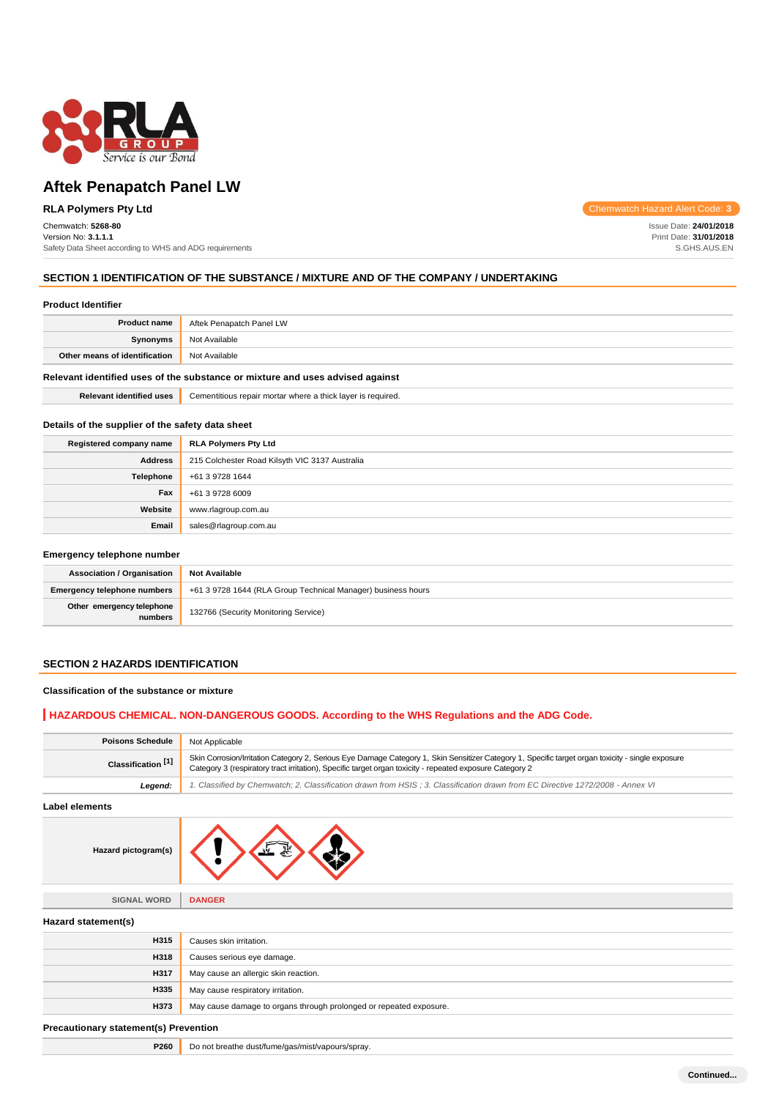

# **Aftek Penapatch Panel LW**

## **RLA Polymers Pty Ltd**

#### Chemwatch: **5268-80** Version No: **3.1.1.1**

Safety Data Sheet according to WHS and ADG requirements

Chemwatch Hazard Alert Code: **3**

Issue Date: **24/01/2018** Print Date: **31/01/2018** S.GHS.AUS.EN

### **SECTION 1 IDENTIFICATION OF THE SUBSTANCE / MIXTURE AND OF THE COMPANY / UNDERTAKING**

| <b>Product Identifier</b>                                                     |                                                             |  |
|-------------------------------------------------------------------------------|-------------------------------------------------------------|--|
| <b>Product name</b>                                                           | Aftek Penapatch Panel LW                                    |  |
| Synonyms                                                                      | Not Available                                               |  |
| Other means of identification                                                 | Not Available                                               |  |
| Relevant identified uses of the substance or mixture and uses advised against |                                                             |  |
| <b>Relevant identified uses</b>                                               | Cementitious repair mortar where a thick layer is required. |  |

### **Details of the supplier of the safety data sheet**

| Registered company name | <b>RLA Polymers Pty Ltd</b>                    |  |
|-------------------------|------------------------------------------------|--|
| <b>Address</b>          | 215 Colchester Road Kilsyth VIC 3137 Australia |  |
| Telephone               | +61 3 9728 1644                                |  |
| Fax                     | +61 3 9728 6009                                |  |
| Website                 | www.rlagroup.com.au                            |  |
| Email                   | sales@rlagroup.com.au                          |  |

#### **Emergency telephone number**

| <b>Association / Organisation</b>    | <b>Not Available</b>                                         |  |
|--------------------------------------|--------------------------------------------------------------|--|
| <b>Emergency telephone numbers</b>   | +61 3 9728 1644 (RLA Group Technical Manager) business hours |  |
| Other emergency telephone<br>numbers | 132766 (Security Monitoring Service)                         |  |

## **SECTION 2 HAZARDS IDENTIFICATION**

### **Classification of the substance or mixture**

## **HAZARDOUS CHEMICAL. NON-DANGEROUS GOODS. According to the WHS Regulations and the ADG Code.**

| <b>Poisons Schedule</b>                                                                                                                  | Not Applicable<br>Skin Corrosion/Irritation Category 2, Serious Eye Damage Category 1, Skin Sensitizer Category 1, Specific target organ toxicity - single exposure<br>Category 3 (respiratory tract irritation), Specific target organ toxicity - repeated exposure Category 2 |  |
|------------------------------------------------------------------------------------------------------------------------------------------|---------------------------------------------------------------------------------------------------------------------------------------------------------------------------------------------------------------------------------------------------------------------------------|--|
| Classification <sup>[1]</sup>                                                                                                            |                                                                                                                                                                                                                                                                                 |  |
| 1. Classified by Chemwatch; 2. Classification drawn from HSIS; 3. Classification drawn from EC Directive 1272/2008 - Annex VI<br>Leaend: |                                                                                                                                                                                                                                                                                 |  |

**Label elements**

| Hazard pictogram(s) |  |  |  |
|---------------------|--|--|--|
|---------------------|--|--|--|

| <b>SIGNAL WORD</b> | <b>DANGER</b> |
|--------------------|---------------|
|                    |               |

| Hazard statement(s) |                                                                    |  |  |
|---------------------|--------------------------------------------------------------------|--|--|
| H315                | Causes skin irritation.                                            |  |  |
| H318                | Causes serious eye damage.                                         |  |  |
| H317                | May cause an allergic skin reaction.                               |  |  |
| <b>H335</b>         | May cause respiratory irritation.                                  |  |  |
| H373                | May cause damage to organs through prolonged or repeated exposure. |  |  |
|                     |                                                                    |  |  |

#### **Precautionary statement(s) Prevention**

**P260** Do not breathe dust/fume/gas/mist/vapours/spray.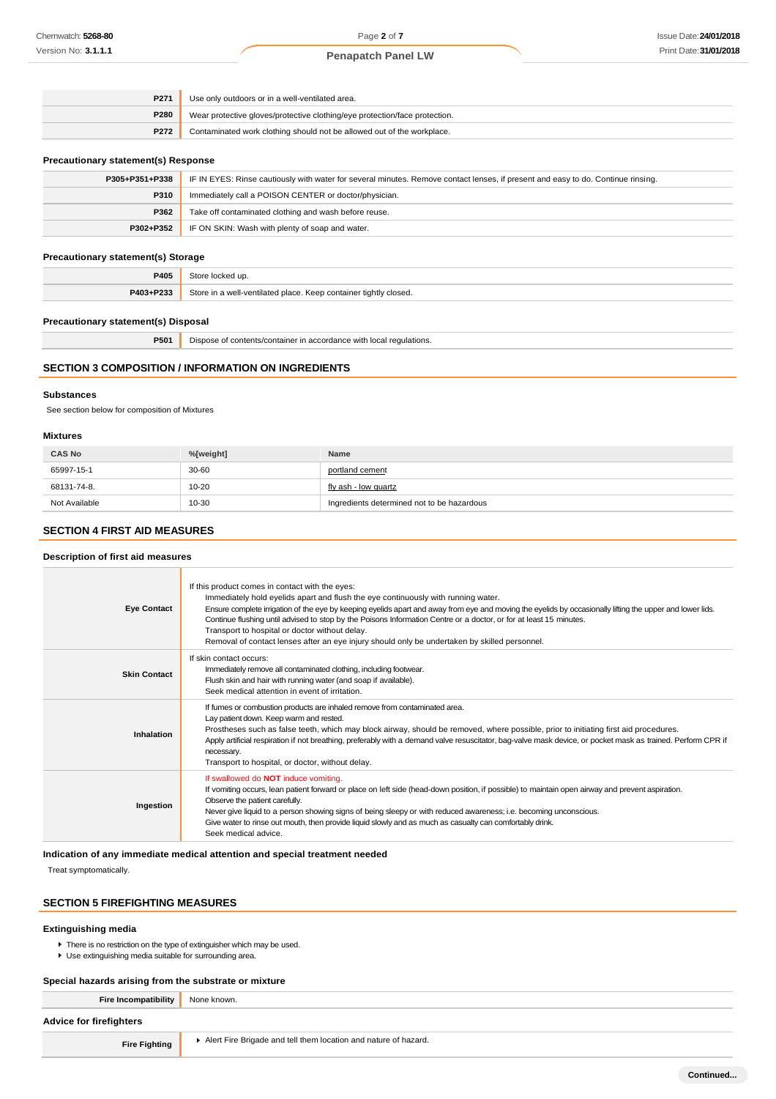### **Penapatch Panel LW**

| P <sub>271</sub> | Use only outdoors or in a well-ventilated area.                            |  |
|------------------|----------------------------------------------------------------------------|--|
| P280             | Wear protective gloves/protective clothing/eye protection/face protection. |  |
| P272             | Contaminated work clothing should not be allowed out of the workplace.     |  |

#### **Precautionary statement(s) Response**

| P305+P351+P338 | IF IN EYES: Rinse cautiously with water for several minutes. Remove contact lenses, if present and easy to do. Continue rinsing. |  |
|----------------|----------------------------------------------------------------------------------------------------------------------------------|--|
| P310           | Immediately call a POISON CENTER or doctor/physician.                                                                            |  |
| P362           | Take off contaminated clothing and wash before reuse.                                                                            |  |
| P302+P352      | IF ON SKIN: Wash with plenty of soap and water.                                                                                  |  |
|                |                                                                                                                                  |  |

### **Precautionary statement(s) Storage**

| P405      | ≧locked up.                                                      |
|-----------|------------------------------------------------------------------|
| P403+P233 | Store in a well-ventilated place. Keep container tightly closed. |

### **Precautionary statement(s) Disposal**

| P50 | <b>I</b> Dispose of contents/container in accordance with local requlations. |  |
|-----|------------------------------------------------------------------------------|--|
|     |                                                                              |  |

### **SECTION 3 COMPOSITION / INFORMATION ON INGREDIENTS**

#### **Substances**

See section below for composition of Mixtures

### **Mixtures**

| <b>CAS No</b> | %[weight] | Name                                       |
|---------------|-----------|--------------------------------------------|
| 65997-15-1    | $30 - 60$ | portland cement                            |
| 68131-74-8.   | 10-20     | fly ash - low quartz                       |
| Not Available | 10-30     | Ingredients determined not to be hazardous |

### **SECTION 4 FIRST AID MEASURES**

### **Description of first aid measures**

| <b>Eye Contact</b>  | If this product comes in contact with the eyes:<br>Immediately hold eyelids apart and flush the eye continuously with running water.<br>Ensure complete irrigation of the eye by keeping eyelids apart and away from eye and moving the eyelids by occasionally lifting the upper and lower lids.<br>Continue flushing until advised to stop by the Poisons Information Centre or a doctor, or for at least 15 minutes.<br>Transport to hospital or doctor without delay.<br>Removal of contact lenses after an eye injury should only be undertaken by skilled personnel. |
|---------------------|----------------------------------------------------------------------------------------------------------------------------------------------------------------------------------------------------------------------------------------------------------------------------------------------------------------------------------------------------------------------------------------------------------------------------------------------------------------------------------------------------------------------------------------------------------------------------|
| <b>Skin Contact</b> | If skin contact occurs:<br>Immediately remove all contaminated clothing, including footwear.<br>Flush skin and hair with running water (and soap if available).<br>Seek medical attention in event of irritation.                                                                                                                                                                                                                                                                                                                                                          |
| Inhalation          | If fumes or combustion products are inhaled remove from contaminated area.<br>Lay patient down. Keep warm and rested.<br>Prostheses such as false teeth, which may block airway, should be removed, where possible, prior to initiating first aid procedures.<br>Apply artificial respiration if not breathing, preferably with a demand valve resuscitator, bag-valve mask device, or pocket mask as trained. Perform CPR if<br>necessary.<br>Transport to hospital, or doctor, without delay.                                                                            |
| Ingestion           | If swallowed do <b>NOT</b> induce vomiting.<br>If vomiting occurs, lean patient forward or place on left side (head-down position, if possible) to maintain open airway and prevent aspiration.<br>Observe the patient carefully.<br>Never give liquid to a person showing signs of being sleepy or with reduced awareness; i.e. becoming unconscious.<br>Give water to rinse out mouth, then provide liquid slowly and as much as casualty can comfortably drink.<br>Seek medical advice.                                                                                 |

## **Indication of any immediate medical attention and special treatment needed**

Treat symptomatically.

## **SECTION 5 FIREFIGHTING MEASURES**

### **Extinguishing media**

- **There is no restriction on the type of extinguisher which may be used.**
- Use extinguishing media suitable for surrounding area.

#### **Special hazards arising from the substrate or mixture**

**Fire Incompatibility** None known.

### **Advice for firefighters**

**Fire Fighting Alert Fire Brigade and tell them location and nature of hazard.**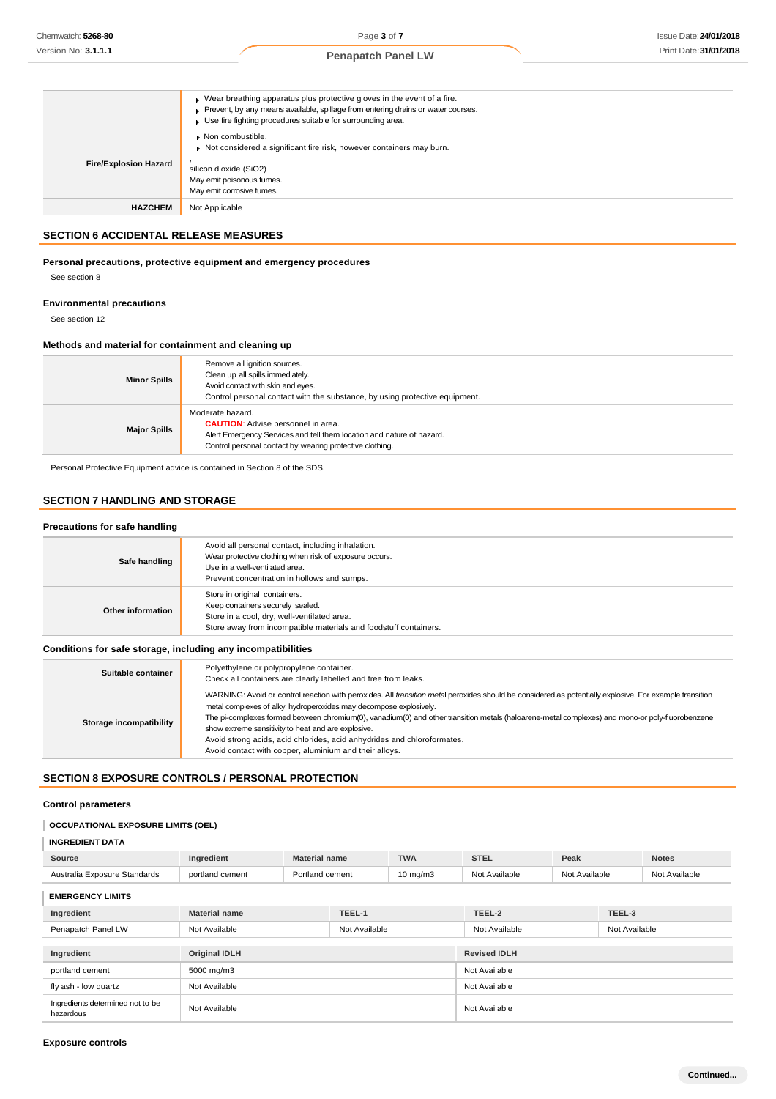|                              | Wear breathing apparatus plus protective gloves in the event of a fire.<br>Prevent, by any means available, spillage from entering drains or water courses.<br>Use fire fighting procedures suitable for surrounding area. |
|------------------------------|----------------------------------------------------------------------------------------------------------------------------------------------------------------------------------------------------------------------------|
| <b>Fire/Explosion Hazard</b> | $\bullet$ Non combustible.<br>Not considered a significant fire risk, however containers may burn.<br>silicon dioxide (SiO2)<br>May emit poisonous fumes.<br>May emit corrosive fumes.                                     |
| <b>HAZCHEM</b>               | Not Applicable                                                                                                                                                                                                             |

### **SECTION 6 ACCIDENTAL RELEASE MEASURES**

## **Personal precautions, protective equipment and emergency procedures**

See section 8

### **Environmental precautions**

See section 12

### **Methods and material for containment and cleaning up**

| <b>Minor Spills</b> | Remove all ignition sources.<br>Clean up all spills immediately.<br>Avoid contact with skin and eyes.<br>Control personal contact with the substance, by using protective equipment.               |
|---------------------|----------------------------------------------------------------------------------------------------------------------------------------------------------------------------------------------------|
| <b>Major Spills</b> | Moderate hazard.<br><b>CAUTION:</b> Advise personnel in area.<br>Alert Emergency Services and tell them location and nature of hazard.<br>Control personal contact by wearing protective clothing. |

Personal Protective Equipment advice is contained in Section 8 of the SDS.

## **SECTION 7 HANDLING AND STORAGE**

| Precautions for safe handling |                                                                                                                                                                                              |  |
|-------------------------------|----------------------------------------------------------------------------------------------------------------------------------------------------------------------------------------------|--|
| Safe handling                 | Avoid all personal contact, including inhalation.<br>Wear protective clothing when risk of exposure occurs.<br>Use in a well-ventilated area.<br>Prevent concentration in hollows and sumps. |  |
| Other information             | Store in original containers.<br>Keep containers securely sealed.<br>Store in a cool, dry, well-ventilated area.<br>Store away from incompatible materials and foodstuff containers.         |  |

### **Conditions for safe storage, including any incompatibilities**

| Suitable container      | Polyethylene or polypropylene container.<br>Check all containers are clearly labelled and free from leaks.                                                                                                                                                                                                                                                                                                                                                                                                                                                                   |
|-------------------------|------------------------------------------------------------------------------------------------------------------------------------------------------------------------------------------------------------------------------------------------------------------------------------------------------------------------------------------------------------------------------------------------------------------------------------------------------------------------------------------------------------------------------------------------------------------------------|
| Storage incompatibility | WARNING: Avoid or control reaction with peroxides. All transition metal peroxides should be considered as potentially explosive. For example transition<br>metal complexes of alkyl hydroperoxides may decompose explosively.<br>The pi-complexes formed between chromium(0), vanadium(0) and other transition metals (haloarene-metal complexes) and mono-or poly-fluorobenzene<br>show extreme sensitivity to heat and are explosive.<br>Avoid strong acids, acid chlorides, acid anhydrides and chloroformates.<br>Avoid contact with copper, aluminium and their alloys. |

## **SECTION 8 EXPOSURE CONTROLS / PERSONAL PROTECTION**

### **Control parameters**

## **OCCUPATIONAL EXPOSURE LIMITS (OEL)**

| <b>INGREDIENT DATA</b>       |                      |                      |                   |               |               |        |               |
|------------------------------|----------------------|----------------------|-------------------|---------------|---------------|--------|---------------|
| Source                       | Ingredient           | <b>Material name</b> | <b>TWA</b>        | <b>STEL</b>   | Peak          |        | <b>Notes</b>  |
| Australia Exposure Standards | portland cement      | Portland cement      | $10 \text{ mg/m}$ | Not Available | Not Available |        | Not Available |
| <b>EMERGENCY LIMITS</b>      |                      |                      |                   |               |               |        |               |
| Ingredient                   | <b>Material name</b> | TEEL-1               |                   | TEEL-2        |               | TEEL-3 |               |

| Penapatch Panel LW                            | Not Available        | Not Available | Not Available       | Not Available |
|-----------------------------------------------|----------------------|---------------|---------------------|---------------|
| Ingredient                                    | <b>Original IDLH</b> |               | <b>Revised IDLH</b> |               |
| portland cement                               | 5000 mg/m3           |               | Not Available       |               |
| fly ash - low quartz                          | Not Available        |               | Not Available       |               |
| Ingredients determined not to be<br>hazardous | Not Available        |               | Not Available       |               |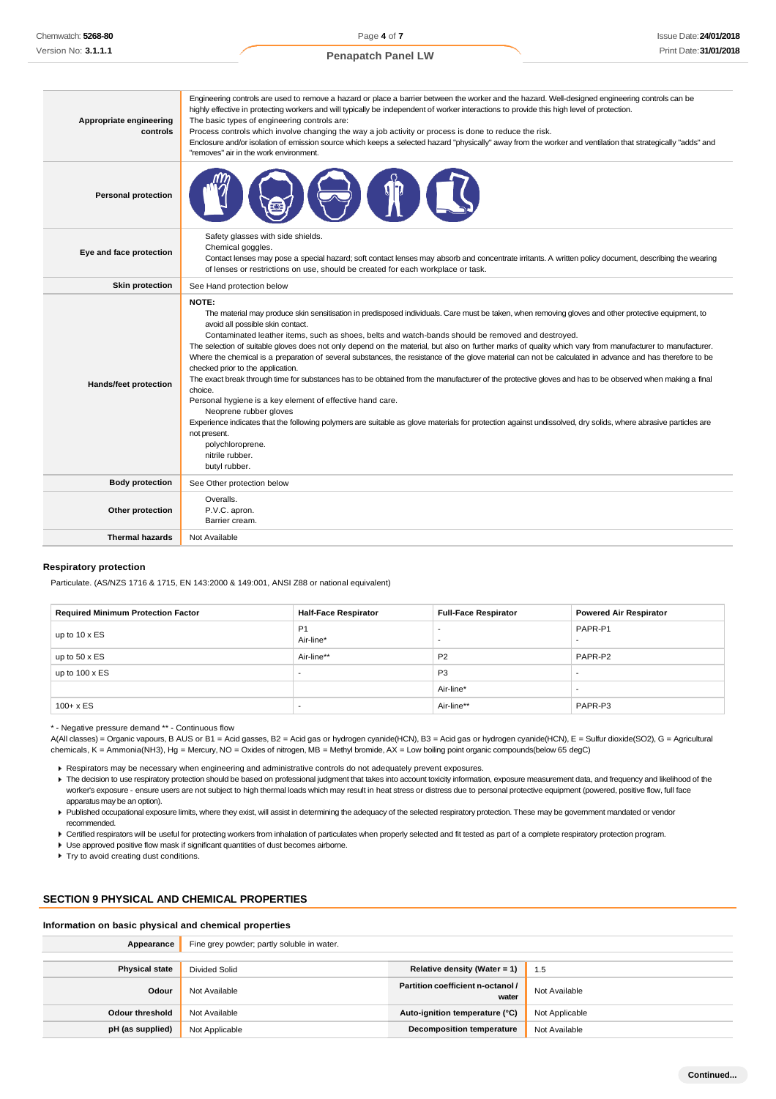| Appropriate engineering<br>controls | Engineering controls are used to remove a hazard or place a barrier between the worker and the hazard. Well-designed engineering controls can be<br>highly effective in protecting workers and will typically be independent of worker interactions to provide this high level of protection.<br>The basic types of engineering controls are:<br>Process controls which involve changing the way a job activity or process is done to reduce the risk.<br>Enclosure and/or isolation of emission source which keeps a selected hazard "physically" away from the worker and ventilation that strategically "adds" and<br>"removes" air in the work environment.                                                                                                                                                                                                                                                                                                                                                                                                                                                                                                            |
|-------------------------------------|----------------------------------------------------------------------------------------------------------------------------------------------------------------------------------------------------------------------------------------------------------------------------------------------------------------------------------------------------------------------------------------------------------------------------------------------------------------------------------------------------------------------------------------------------------------------------------------------------------------------------------------------------------------------------------------------------------------------------------------------------------------------------------------------------------------------------------------------------------------------------------------------------------------------------------------------------------------------------------------------------------------------------------------------------------------------------------------------------------------------------------------------------------------------------|
| <b>Personal protection</b>          |                                                                                                                                                                                                                                                                                                                                                                                                                                                                                                                                                                                                                                                                                                                                                                                                                                                                                                                                                                                                                                                                                                                                                                            |
| Eye and face protection             | Safety glasses with side shields.<br>Chemical goggles.<br>Contact lenses may pose a special hazard; soft contact lenses may absorb and concentrate irritants. A written policy document, describing the wearing<br>of lenses or restrictions on use, should be created for each workplace or task.                                                                                                                                                                                                                                                                                                                                                                                                                                                                                                                                                                                                                                                                                                                                                                                                                                                                         |
| <b>Skin protection</b>              | See Hand protection below                                                                                                                                                                                                                                                                                                                                                                                                                                                                                                                                                                                                                                                                                                                                                                                                                                                                                                                                                                                                                                                                                                                                                  |
| Hands/feet protection               | NOTE:<br>The material may produce skin sensitisation in predisposed individuals. Care must be taken, when removing gloves and other protective equipment, to<br>avoid all possible skin contact.<br>Contaminated leather items, such as shoes, belts and watch-bands should be removed and destroyed.<br>The selection of suitable gloves does not only depend on the material, but also on further marks of quality which vary from manufacturer to manufacturer.<br>Where the chemical is a preparation of several substances, the resistance of the glove material can not be calculated in advance and has therefore to be<br>checked prior to the application.<br>The exact break through time for substances has to be obtained from the manufacturer of the protective gloves and has to be observed when making a final<br>choice.<br>Personal hygiene is a key element of effective hand care.<br>Neoprene rubber gloves<br>Experience indicates that the following polymers are suitable as glove materials for protection against undissolved, dry solids, where abrasive particles are<br>not present.<br>polychloroprene.<br>nitrile rubber.<br>butyl rubber. |
| <b>Body protection</b>              | See Other protection below                                                                                                                                                                                                                                                                                                                                                                                                                                                                                                                                                                                                                                                                                                                                                                                                                                                                                                                                                                                                                                                                                                                                                 |
| Other protection                    | Overalls.<br>P.V.C. apron.<br>Barrier cream.                                                                                                                                                                                                                                                                                                                                                                                                                                                                                                                                                                                                                                                                                                                                                                                                                                                                                                                                                                                                                                                                                                                               |
| <b>Thermal hazards</b>              | Not Available                                                                                                                                                                                                                                                                                                                                                                                                                                                                                                                                                                                                                                                                                                                                                                                                                                                                                                                                                                                                                                                                                                                                                              |

#### **Respiratory protection**

Particulate. (AS/NZS 1716 & 1715, EN 143:2000 & 149:001, ANSI Z88 or national equivalent)

| <b>Required Minimum Protection Factor</b> | <b>Half-Face Respirator</b> | <b>Full-Face Respirator</b> | <b>Powered Air Respirator</b> |
|-------------------------------------------|-----------------------------|-----------------------------|-------------------------------|
| up to $10 \times ES$                      | P <sub>1</sub><br>Air-line* |                             | PAPR-P1                       |
| up to $50 \times ES$                      | Air-line**                  | <b>P2</b>                   | PAPR-P2                       |
| up to $100 \times ES$                     | . .                         | P <sub>3</sub>              | $\overline{\phantom{0}}$      |
|                                           |                             | Air-line*                   | $\overline{\phantom{0}}$      |
| $100 + x ES$                              |                             | Air-line**                  | PAPR-P3                       |

\* - Negative pressure demand \*\* - Continuous flow

A(All classes) = Organic vapours, B AUS or B1 = Acid gasses, B2 = Acid gas or hydrogen cyanide(HCN), B3 = Acid gas or hydrogen cyanide(HCN), E = Sulfur dioxide(SO2), G = Agricultural chemicals, K = Ammonia(NH3), Hg = Mercury, NO = Oxides of nitrogen, MB = Methyl bromide, AX = Low boiling point organic compounds(below 65 degC)

Respirators may be necessary when engineering and administrative controls do not adequately prevent exposures.

The decision to use respiratory protection should be based on professional judgment that takes into account toxicity information, exposure measurement data, and frequency and likelihood of the worker's exposure - ensure users are not subject to high thermal loads which may result in heat stress or distress due to personal protective equipment (powered, positive flow, full face apparatus may be an option).

Published occupational exposure limits, where they exist, will assist in determining the adequacy of the selected respiratory protection. These may be government mandated or vendor recommended.

Certified respirators will be useful for protecting workers from inhalation of particulates when properly selected and fit tested as part of a complete respiratory protection program.

Use approved positive flow mask if significant quantities of dust becomes airborne.

**Try to avoid creating dust conditions.** 

### **SECTION 9 PHYSICAL AND CHEMICAL PROPERTIES**

#### **Information on basic physical and chemical properties**

| Appearance            | Fine grey powder; partly soluble in water. |                                            |                |
|-----------------------|--------------------------------------------|--------------------------------------------|----------------|
| <b>Physical state</b> | <b>Divided Solid</b>                       | Relative density (Water = 1)               | 1.5            |
| Odour                 | Not Available                              | Partition coefficient n-octanol /<br>water | Not Available  |
| Odour threshold       | Not Available                              | Auto-ignition temperature (°C)             | Not Applicable |
| pH (as supplied)      | Not Applicable                             | <b>Decomposition temperature</b>           | Not Available  |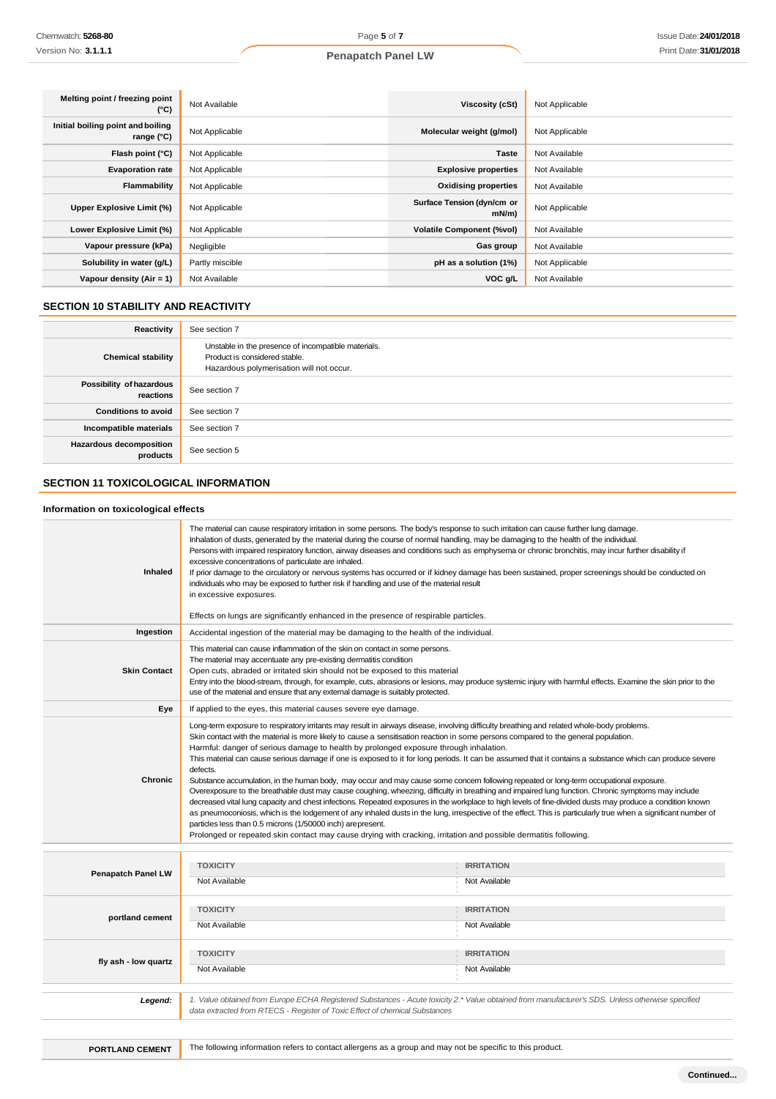| Melting point / freezing point<br>(°C)          | Not Available   | Viscosity (cSt)                    | Not Applicable |
|-------------------------------------------------|-----------------|------------------------------------|----------------|
| Initial boiling point and boiling<br>range (°C) | Not Applicable  | Molecular weight (g/mol)           | Not Applicable |
| Flash point (°C)                                | Not Applicable  | <b>Taste</b>                       | Not Available  |
| <b>Evaporation rate</b>                         | Not Applicable  | <b>Explosive properties</b>        | Not Available  |
| Flammability                                    | Not Applicable  | <b>Oxidising properties</b>        | Not Available  |
| Upper Explosive Limit (%)                       | Not Applicable  | Surface Tension (dyn/cm or<br>mN/m | Not Applicable |
| Lower Explosive Limit (%)                       | Not Applicable  | <b>Volatile Component (%vol)</b>   | Not Available  |
| Vapour pressure (kPa)                           | Negligible      | Gas group                          | Not Available  |
| Solubility in water (g/L)                       | Partly miscible | pH as a solution (1%)              | Not Applicable |
| Vapour density (Air = 1)                        | Not Available   | VOC g/L                            | Not Available  |

## **SECTION 10 STABILITY AND REACTIVITY**

| Reactivity                                 | See section 7                                                                                                                    |
|--------------------------------------------|----------------------------------------------------------------------------------------------------------------------------------|
| <b>Chemical stability</b>                  | Unstable in the presence of incompatible materials.<br>Product is considered stable.<br>Hazardous polymerisation will not occur. |
| Possibility of hazardous<br>reactions      | See section 7                                                                                                                    |
| <b>Conditions to avoid</b>                 | See section 7                                                                                                                    |
| Incompatible materials                     | See section 7                                                                                                                    |
| <b>Hazardous decomposition</b><br>products | See section 5                                                                                                                    |

## **SECTION 11 TOXICOLOGICAL INFORMATION**

### **Information on toxicological effects**

| <b>Inhaled</b>            | The material can cause respiratory irritation in some persons. The body's response to such irritation can cause further lung damage.<br>Inhalation of dusts, generated by the material during the course of normal handling, may be damaging to the health of the individual.<br>Persons with impaired respiratory function, airway diseases and conditions such as emphysema or chronic bronchitis, may incur further disability if<br>excessive concentrations of particulate are inhaled.<br>If prior damage to the circulatory or nervous systems has occurred or if kidney damage has been sustained, proper screenings should be conducted on<br>individuals who may be exposed to further risk if handling and use of the material result<br>in excessive exposures.<br>Effects on lungs are significantly enhanced in the presence of respirable particles.                                                                                                                                                                                                                                                                                                                                                                                                                                                                                                  |                                                                                                                                                  |  |
|---------------------------|----------------------------------------------------------------------------------------------------------------------------------------------------------------------------------------------------------------------------------------------------------------------------------------------------------------------------------------------------------------------------------------------------------------------------------------------------------------------------------------------------------------------------------------------------------------------------------------------------------------------------------------------------------------------------------------------------------------------------------------------------------------------------------------------------------------------------------------------------------------------------------------------------------------------------------------------------------------------------------------------------------------------------------------------------------------------------------------------------------------------------------------------------------------------------------------------------------------------------------------------------------------------------------------------------------------------------------------------------------------------|--------------------------------------------------------------------------------------------------------------------------------------------------|--|
| Ingestion                 | Accidental ingestion of the material may be damaging to the health of the individual.                                                                                                                                                                                                                                                                                                                                                                                                                                                                                                                                                                                                                                                                                                                                                                                                                                                                                                                                                                                                                                                                                                                                                                                                                                                                                |                                                                                                                                                  |  |
| <b>Skin Contact</b>       | This material can cause inflammation of the skin on contact in some persons.<br>The material may accentuate any pre-existing dermatitis condition<br>Open cuts, abraded or irritated skin should not be exposed to this material<br>Entry into the blood-stream, through, for example, cuts, abrasions or lesions, may produce systemic injury with harmful effects. Examine the skin prior to the<br>use of the material and ensure that any external damage is suitably protected.                                                                                                                                                                                                                                                                                                                                                                                                                                                                                                                                                                                                                                                                                                                                                                                                                                                                                 |                                                                                                                                                  |  |
| Eye                       | If applied to the eyes, this material causes severe eye damage.                                                                                                                                                                                                                                                                                                                                                                                                                                                                                                                                                                                                                                                                                                                                                                                                                                                                                                                                                                                                                                                                                                                                                                                                                                                                                                      |                                                                                                                                                  |  |
| <b>Chronic</b>            | Long-term exposure to respiratory irritants may result in airways disease, involving difficulty breathing and related whole-body problems.<br>Skin contact with the material is more likely to cause a sensitisation reaction in some persons compared to the general population.<br>Harmful: danger of serious damage to health by prolonged exposure through inhalation.<br>This material can cause serious damage if one is exposed to it for long periods. It can be assumed that it contains a substance which can produce severe<br>defects.<br>Substance accumulation, in the human body, may occur and may cause some concern following repeated or long-term occupational exposure.<br>Overexposure to the breathable dust may cause coughing, wheezing, difficulty in breathing and impaired lung function. Chronic symptoms may include<br>decreased vital lung capacity and chest infections. Repeated exposures in the workplace to high levels of fine-divided dusts may produce a condition known<br>as pneumoconiosis, which is the lodgement of any inhaled dusts in the lung, irrespective of the effect. This is particularly true when a significant number of<br>particles less than 0.5 microns (1/50000 inch) arepresent.<br>Prolonged or repeated skin contact may cause drying with cracking, irritation and possible dermatitis following. |                                                                                                                                                  |  |
| <b>Penapatch Panel LW</b> | <b>TOXICITY</b><br>Not Available                                                                                                                                                                                                                                                                                                                                                                                                                                                                                                                                                                                                                                                                                                                                                                                                                                                                                                                                                                                                                                                                                                                                                                                                                                                                                                                                     | <b>IRRITATION</b><br>Not Available                                                                                                               |  |
| portland cement           | <b>TOXICITY</b><br>Not Available                                                                                                                                                                                                                                                                                                                                                                                                                                                                                                                                                                                                                                                                                                                                                                                                                                                                                                                                                                                                                                                                                                                                                                                                                                                                                                                                     | <b>IRRITATION</b><br>Not Available                                                                                                               |  |
| fly ash - low quartz      | <b>TOXICITY</b><br>Not Available                                                                                                                                                                                                                                                                                                                                                                                                                                                                                                                                                                                                                                                                                                                                                                                                                                                                                                                                                                                                                                                                                                                                                                                                                                                                                                                                     | <b>IRRITATION</b><br>Not Available                                                                                                               |  |
| Legend:                   | data extracted from RTECS - Register of Toxic Effect of chemical Substances                                                                                                                                                                                                                                                                                                                                                                                                                                                                                                                                                                                                                                                                                                                                                                                                                                                                                                                                                                                                                                                                                                                                                                                                                                                                                          | 1. Value obtained from Europe ECHA Registered Substances - Acute toxicity 2.* Value obtained from manufacturer's SDS. Unless otherwise specified |  |
|                           |                                                                                                                                                                                                                                                                                                                                                                                                                                                                                                                                                                                                                                                                                                                                                                                                                                                                                                                                                                                                                                                                                                                                                                                                                                                                                                                                                                      |                                                                                                                                                  |  |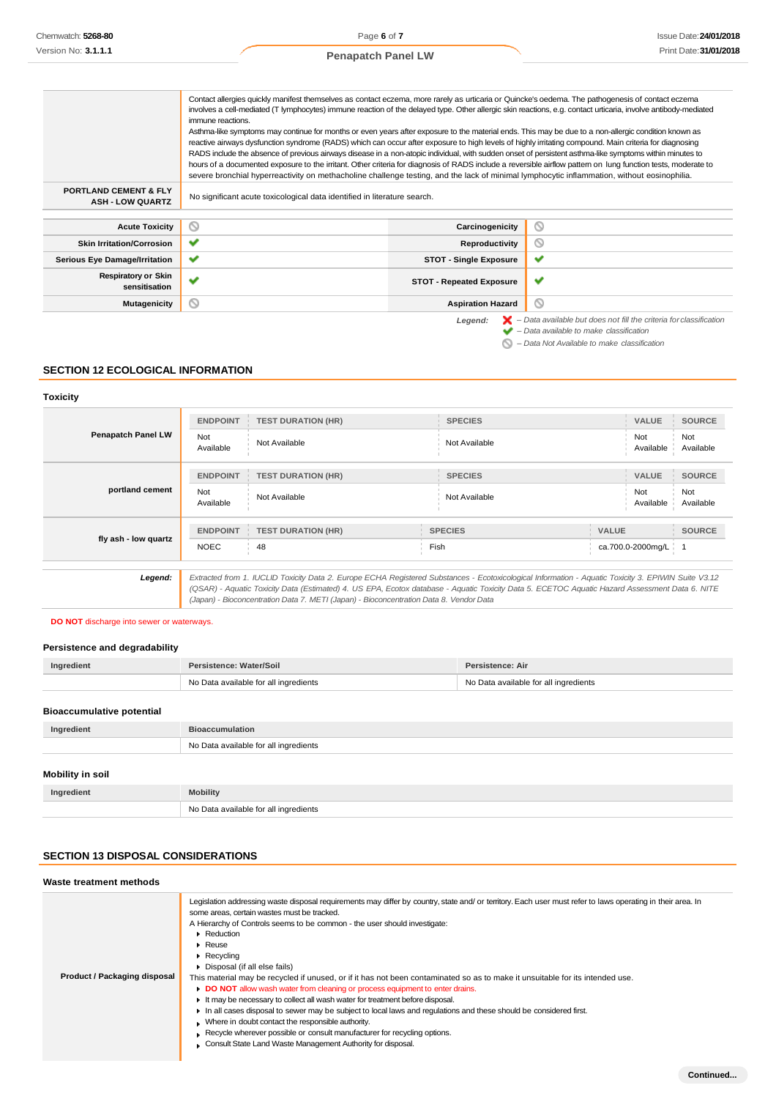## **Penapatch Panel LW**

|                                                             | Contact allergies quickly manifest themselves as contact eczema, more rarely as urticaria or Quincke's oedema. The pathogenesis of contact eczema                                                                                                                                                                        |                                 |                                                                                          |
|-------------------------------------------------------------|--------------------------------------------------------------------------------------------------------------------------------------------------------------------------------------------------------------------------------------------------------------------------------------------------------------------------|---------------------------------|------------------------------------------------------------------------------------------|
|                                                             | involves a cell-mediated (T lymphocytes) immune reaction of the delayed type. Other allergic skin reactions, e.g. contact urticaria, involve antibody-mediated<br>immune reactions.                                                                                                                                      |                                 |                                                                                          |
|                                                             | Asthma-like symptoms may continue for months or even years after exposure to the material ends. This may be due to a non-allergic condition known as                                                                                                                                                                     |                                 |                                                                                          |
|                                                             | reactive airways dysfunction syndrome (RADS) which can occur after exposure to high levels of highly irritating compound. Main criteria for diagnosing                                                                                                                                                                   |                                 |                                                                                          |
|                                                             | RADS include the absence of previous airways disease in a non-atopic individual, with sudden onset of persistent asthma-like symptoms within minutes to<br>hours of a documented exposure to the irritant. Other criteria for diagnosis of RADS include a reversible airflow pattern on lung function tests, moderate to |                                 |                                                                                          |
|                                                             | severe bronchial hyperreactivity on methacholine challenge testing, and the lack of minimal lymphocytic inflammation, without eosinophilia.                                                                                                                                                                              |                                 |                                                                                          |
| <b>PORTLAND CEMENT &amp; FLY</b><br><b>ASH - LOW QUARTZ</b> | No significant acute toxicological data identified in literature search.                                                                                                                                                                                                                                                 |                                 |                                                                                          |
|                                                             |                                                                                                                                                                                                                                                                                                                          |                                 |                                                                                          |
| <b>Acute Toxicity</b>                                       | ◎                                                                                                                                                                                                                                                                                                                        | Carcinogenicity                 | ◎                                                                                        |
| <b>Skin Irritation/Corrosion</b>                            | $\checkmark$                                                                                                                                                                                                                                                                                                             | Reproductivity                  | Q                                                                                        |
| <b>Serious Eye Damage/Irritation</b>                        | ✓                                                                                                                                                                                                                                                                                                                        | <b>STOT - Single Exposure</b>   | $\checkmark$                                                                             |
| <b>Respiratory or Skin</b><br>sensitisation                 | ✔                                                                                                                                                                                                                                                                                                                        | <b>STOT - Repeated Exposure</b> | ✔                                                                                        |
| Mutagenicity                                                | O                                                                                                                                                                                                                                                                                                                        | <b>Aspiration Hazard</b>        | ◎                                                                                        |
|                                                             |                                                                                                                                                                                                                                                                                                                          | Legend:                         | $\blacktriangleright$ - Data available but does not fill the criteria for classification |
|                                                             |                                                                                                                                                                                                                                                                                                                          |                                 | $\blacktriangleright$ - Data available to make classification                            |
|                                                             |                                                                                                                                                                                                                                                                                                                          |                                 | - Data Not Available to make classification                                              |

### **SECTION 12 ECOLOGICAL INFORMATION**

### **Toxicity**

| <b>Penapatch Panel LW</b> | <b>ENDPOINT</b>  | <b>TEST DURATION (HR)</b>                                                              | <b>SPECIES</b>                                                                                                                                                                                                                                                                                        |              | <b>VALUE</b>      | <b>SOURCE</b>    |
|---------------------------|------------------|----------------------------------------------------------------------------------------|-------------------------------------------------------------------------------------------------------------------------------------------------------------------------------------------------------------------------------------------------------------------------------------------------------|--------------|-------------------|------------------|
|                           | Not<br>Available | Not Available                                                                          | Not Available                                                                                                                                                                                                                                                                                         |              |                   | Not<br>Available |
| portland cement           | <b>ENDPOINT</b>  | <b>TEST DURATION (HR)</b>                                                              | <b>SPECIES</b>                                                                                                                                                                                                                                                                                        |              | <b>VALUE</b>      | <b>SOURCE</b>    |
|                           | Not<br>Available | Not Available                                                                          | Not Available                                                                                                                                                                                                                                                                                         |              | Not<br>Available  | Not<br>Available |
| fly ash - low quartz      | <b>ENDPOINT</b>  | <b>TEST DURATION (HR)</b>                                                              | <b>SPECIES</b>                                                                                                                                                                                                                                                                                        | <b>VALUE</b> |                   | <b>SOURCE</b>    |
|                           | <b>NOEC</b>      | 48                                                                                     | Fish                                                                                                                                                                                                                                                                                                  |              | ca.700.0-2000mg/L |                  |
| Legend:                   |                  |                                                                                        |                                                                                                                                                                                                                                                                                                       |              |                   |                  |
|                           |                  | (Japan) - Bioconcentration Data 7. METI (Japan) - Bioconcentration Data 8. Vendor Data | Extracted from 1. IUCLID Toxicity Data 2. Europe ECHA Registered Substances - Ecotoxicological Information - Aquatic Toxicity 3. EPIWIN Suite V3.12<br>(QSAR) - Aquatic Toxicity Data (Estimated) 4. US EPA, Ecotox database - Aquatic Toxicity Data 5. ECETOC Aquatic Hazard Assessment Data 6. NITE |              |                   |                  |

### **DO NOT** discharge into sewer or waterways.

### **Persistence and degradability**

| Ingredient                       | Persistence: Water/Soil               | Persistence: Air                      |  |
|----------------------------------|---------------------------------------|---------------------------------------|--|
|                                  | No Data available for all ingredients | No Data available for all ingredients |  |
|                                  |                                       |                                       |  |
| <b>Bioaccumulative potential</b> |                                       |                                       |  |
| Ingredient                       | <b>Bioaccumulation</b>                |                                       |  |
|                                  | No Data available for all ingredients |                                       |  |
|                                  |                                       |                                       |  |
| Mobility in soil                 |                                       |                                       |  |
| Ingredient                       | <b>Mobility</b>                       |                                       |  |
|                                  | No Data available for all ingredients |                                       |  |

## **SECTION 13 DISPOSAL CONSIDERATIONS**

| Waste treatment methods      |                                                                                                                                                                                                                                                                                                                                                                                                                                                                                                                                                                                                                                                                                                                                                                                                                                                                                                                                                                                                                              |  |  |  |
|------------------------------|------------------------------------------------------------------------------------------------------------------------------------------------------------------------------------------------------------------------------------------------------------------------------------------------------------------------------------------------------------------------------------------------------------------------------------------------------------------------------------------------------------------------------------------------------------------------------------------------------------------------------------------------------------------------------------------------------------------------------------------------------------------------------------------------------------------------------------------------------------------------------------------------------------------------------------------------------------------------------------------------------------------------------|--|--|--|
| Product / Packaging disposal | Legislation addressing waste disposal requirements may differ by country, state and/or territory. Each user must refer to laws operating in their area. In<br>some areas, certain wastes must be tracked.<br>A Hierarchy of Controls seems to be common - the user should investigate:<br>Reduction<br>$\blacktriangleright$ Reuse<br>$\blacktriangleright$ Recycling<br>Disposal (if all else fails)<br>This material may be recycled if unused, or if it has not been contaminated so as to make it unsuitable for its intended use.<br>• DO NOT allow wash water from cleaning or process equipment to enter drains.<br>If may be necessary to collect all wash water for treatment before disposal.<br>In all cases disposal to sewer may be subject to local laws and requlations and these should be considered first.<br>Where in doubt contact the responsible authority.<br>Recycle wherever possible or consult manufacturer for recycling options.<br>Consult State Land Waste Management Authority for disposal. |  |  |  |